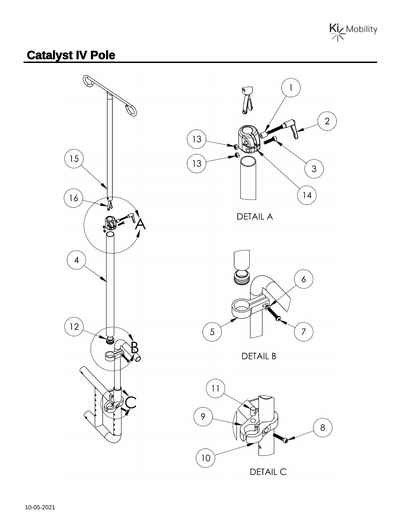

## **Catalyst IV Pole**